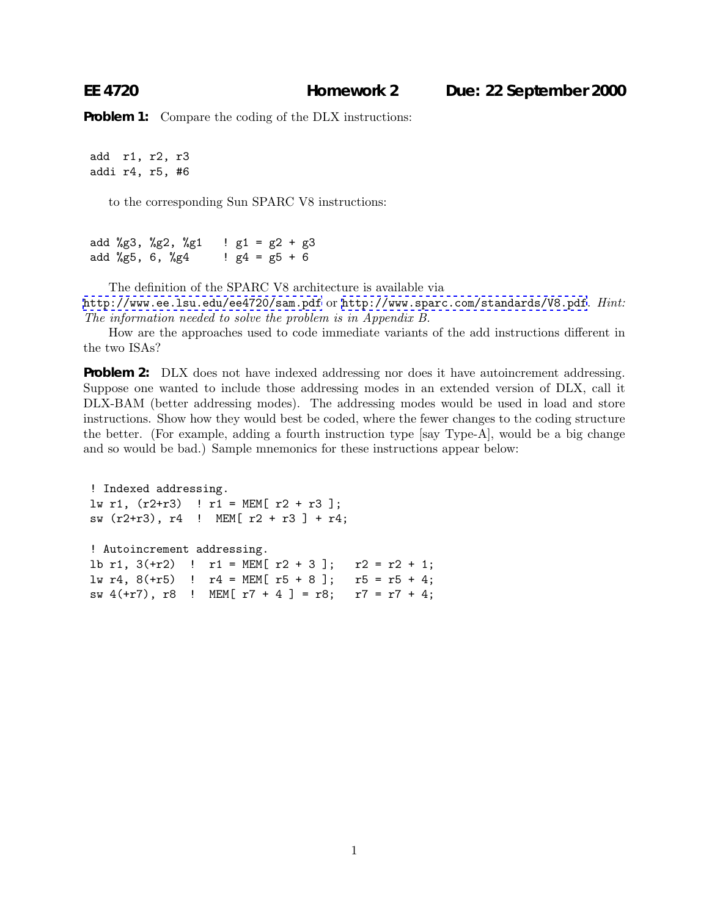**Problem 1:** Compare the coding of the DLX instructions:

add r1, r2, r3 addi r4, r5, #6

to the corresponding Sun SPARC V8 instructions:

add %g3, %g2, %g1 ! g1 = g2 + g3 add %g5, 6, %g4  $\neq$   $g4 = g5 + 6$ 

The definition of the SPARC V8 architecture is available via

<http://www.ee.lsu.edu/ee4720/sam.pdf> or <http://www.sparc.com/standards/V8.pdf>. *Hint: The information needed to solve the problem is in Appendix B.*

How are the approaches used to code immediate variants of the add instructions different in the two ISAs?

**Problem 2:** DLX does not have indexed addressing nor does it have autoincrement addressing. Suppose one wanted to include those addressing modes in an extended version of DLX, call it DLX-BAM (better addressing modes). The addressing modes would be used in load and store instructions. Show how they would best be coded, where the fewer changes to the coding structure the better. (For example, adding a fourth instruction type  $[say Type-A]$ , would be a big change and so would be bad.) Sample mnemonics for these instructions appear below:

```
! Indexed addressing.
lw r1, (r2+r3) ! r1 = MEM[ r2 + r3];
sw (r2+r3), r4 ! MEM[ r2 + r3 ] + r4;
! Autoincrement addressing.
1b r1, 3(+r2) ! r1 = MEM[ r2 + 3]; r2 = r2 + 1;
lw r4, 8(+r5) ! r4 = MEM[ r5 + 8]; r5 = r5 + 4;
sw 4(+r7), r8 ! MEM[ r7 + 4 ] = r8; r7 = r7 + 4;
```